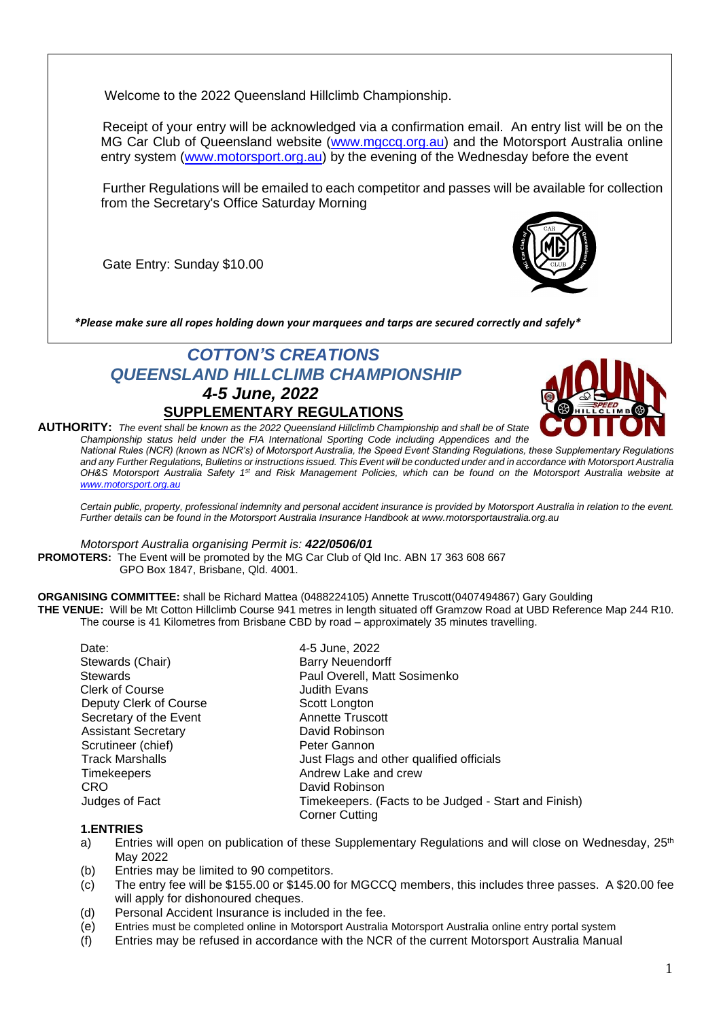Welcome to the 2022 Queensland Hillclimb Championship.

Receipt of your entry will be acknowledged via a confirmation email. An entry list will be on the MG Car Club of Queensland website [\(www.mgccq.org.au\)](http://www.mgccq.org.au/) and the Motorsport Australia online entry system [\(www.motorsport.org.au\)](http://www.motorsport.org.au/) by the evening of the Wednesday before the event

Further Regulations will be emailed to each competitor and passes will be available for collection from the Secretary's Office Saturday Morning

Gate Entry: Sunday \$10.00



*\*Please make sure all ropes holding down your marquees and tarps are secured correctly and safely\**

# *COTTON'S CREATIONS QUEENSLAND HILLCLIMB CHAMPIONSHIP 4-5 June, 2022* **SUPPLEMENTARY REGULATIONS**



**AUTHORITY:** *The event shall be known as the 2022 Queensland Hillclimb Championship and shall be of State Championship status held under the FIA International Sporting Code including Appendices and the* 

*National Rules (NCR) (known as NCR's) of Motorsport Australia, the Speed Event Standing Regulations, these Supplementary Regulations and any Further Regulations, Bulletins or instructions issued. This Event will be conducted under and in accordance with Motorsport Australia OH&S Motorsport Australia Safety 1st and Risk Management Policies, which can be found on the Motorsport Australia website at [www.motorsport.org.au](http://www.motorsport.org.au/)*

*Certain public, property, professional indemnity and personal accident insurance is provided by Motorsport Australia in relation to the event. Further details can be found in the Motorsport Australia Insurance Handbook at www.motorsportaustralia.org.au*

*Motorsport Australia organising Permit is: 422/0506/01*

**PROMOTERS:** The Event will be promoted by the MG Car Club of Qld Inc. ABN 17 363 608 667 GPO Box 1847, Brisbane, Qld. 4001.

**ORGANISING COMMITTEE:** shall be Richard Mattea (0488224105) Annette Truscott(0407494867) Gary Goulding **THE VENUE:** Will be Mt Cotton Hillclimb Course 941 metres in length situated off Gramzow Road at UBD Reference Map 244 R10. The course is 41 Kilometres from Brisbane CBD by road – approximately 35 minutes travelling.

| Date:                      | 4-5 June, 2022                                       |  |  |
|----------------------------|------------------------------------------------------|--|--|
| Stewards (Chair)           | <b>Barry Neuendorff</b>                              |  |  |
| <b>Stewards</b>            | Paul Overell, Matt Sosimenko                         |  |  |
| <b>Clerk of Course</b>     | Judith Evans                                         |  |  |
| Deputy Clerk of Course     | Scott Longton                                        |  |  |
| Secretary of the Event     | <b>Annette Truscott</b>                              |  |  |
| <b>Assistant Secretary</b> | David Robinson                                       |  |  |
| Scrutineer (chief)         | Peter Gannon                                         |  |  |
| <b>Track Marshalls</b>     | Just Flags and other qualified officials             |  |  |
| Timekeepers                | Andrew Lake and crew                                 |  |  |
| <b>CRO</b>                 | David Robinson                                       |  |  |
| Judges of Fact             | Timekeepers. (Facts to be Judged - Start and Finish) |  |  |
|                            | <b>Corner Cutting</b>                                |  |  |

#### **1.ENTRIES**

- a) Entries will open on publication of these Supplementary Regulations and will close on Wednesday,  $25<sup>th</sup>$ May 2022
- (b) Entries may be limited to 90 competitors.
- (c) The entry fee will be \$155.00 or \$145.00 for MGCCQ members, this includes three passes. A \$20.00 fee will apply for dishonoured cheques.
- (d) Personal Accident Insurance is included in the fee.
- (e) Entries must be completed online in Motorsport Australia Motorsport Australia online entry portal system
- (f) Entries may be refused in accordance with the NCR of the current Motorsport Australia Manual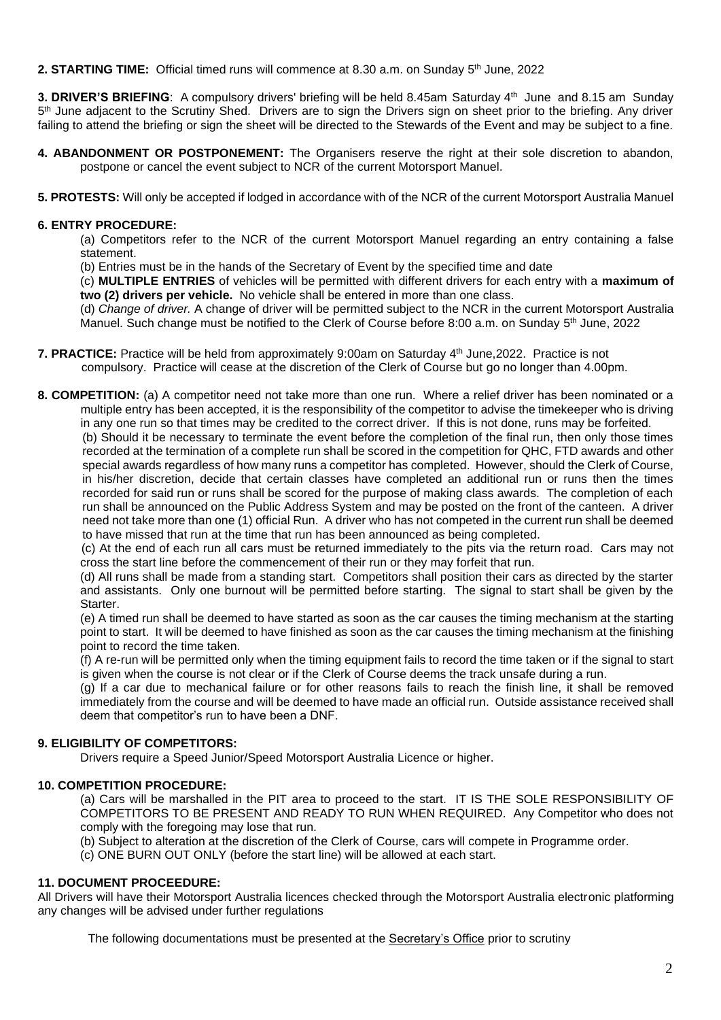**2. STARTING TIME:** Official timed runs will commence at 8.30 a.m. on Sunday 5<sup>th</sup> June, 2022

3. DRIVER'S BRIEFING: A compulsory drivers' briefing will be held 8.45am Saturday 4<sup>th</sup> June and 8.15 am Sunday 5<sup>th</sup> June adjacent to the Scrutiny Shed. Drivers are to sign the Drivers sign on sheet prior to the briefing. Any driver failing to attend the briefing or sign the sheet will be directed to the Stewards of the Event and may be subject to a fine.

- **4. ABANDONMENT OR POSTPONEMENT:** The Organisers reserve the right at their sole discretion to abandon, postpone or cancel the event subject to NCR of the current Motorsport Manuel.
- **5. PROTESTS:** Will only be accepted if lodged in accordance with of the NCR of the current Motorsport Australia Manuel

## **6. ENTRY PROCEDURE:**

(a) Competitors refer to the NCR of the current Motorsport Manuel regarding an entry containing a false statement.

(b) Entries must be in the hands of the Secretary of Event by the specified time and date

(c) **MULTIPLE ENTRIES** of vehicles will be permitted with different drivers for each entry with a **maximum of two (2) drivers per vehicle.** No vehicle shall be entered in more than one class.

(d) *Change of driver.* A change of driver will be permitted subject to the NCR in the current Motorsport Australia Manuel. Such change must be notified to the Clerk of Course before 8:00 a.m. on Sunday 5<sup>th</sup> June, 2022

- **7. PRACTICE:** Practice will be held from approximately 9:00am on Saturday 4<sup>th</sup> June,2022. Practice is not compulsory. Practice will cease at the discretion of the Clerk of Course but go no longer than 4.00pm.
- **8. COMPETITION:** (a) A competitor need not take more than one run. Where a relief driver has been nominated or a multiple entry has been accepted, it is the responsibility of the competitor to advise the timekeeper who is driving in any one run so that times may be credited to the correct driver. If this is not done, runs may be forfeited.

(b) Should it be necessary to terminate the event before the completion of the final run, then only those times recorded at the termination of a complete run shall be scored in the competition for QHC, FTD awards and other special awards regardless of how many runs a competitor has completed. However, should the Clerk of Course, in his/her discretion, decide that certain classes have completed an additional run or runs then the times recorded for said run or runs shall be scored for the purpose of making class awards. The completion of each run shall be announced on the Public Address System and may be posted on the front of the canteen. A driver need not take more than one (1) official Run. A driver who has not competed in the current run shall be deemed to have missed that run at the time that run has been announced as being completed.

(c) At the end of each run all cars must be returned immediately to the pits via the return road. Cars may not cross the start line before the commencement of their run or they may forfeit that run.

(d) All runs shall be made from a standing start. Competitors shall position their cars as directed by the starter and assistants. Only one burnout will be permitted before starting. The signal to start shall be given by the Starter.

(e) A timed run shall be deemed to have started as soon as the car causes the timing mechanism at the starting point to start. It will be deemed to have finished as soon as the car causes the timing mechanism at the finishing point to record the time taken.

(f) A re-run will be permitted only when the timing equipment fails to record the time taken or if the signal to start is given when the course is not clear or if the Clerk of Course deems the track unsafe during a run.

(g) If a car due to mechanical failure or for other reasons fails to reach the finish line, it shall be removed immediately from the course and will be deemed to have made an official run. Outside assistance received shall deem that competitor's run to have been a DNF.

# **9. ELIGIBILITY OF COMPETITORS:**

Drivers require a Speed Junior/Speed Motorsport Australia Licence or higher.

## **10. COMPETITION PROCEDURE:**

(a) Cars will be marshalled in the PIT area to proceed to the start. IT IS THE SOLE RESPONSIBILITY OF COMPETITORS TO BE PRESENT AND READY TO RUN WHEN REQUIRED. Any Competitor who does not comply with the foregoing may lose that run.

(b) Subject to alteration at the discretion of the Clerk of Course, cars will compete in Programme order.

(c) ONE BURN OUT ONLY (before the start line) will be allowed at each start.

## **11. DOCUMENT PROCEEDURE:**

All Drivers will have their Motorsport Australia licences checked through the Motorsport Australia electronic platforming any changes will be advised under further regulations

The following documentations must be presented at the Secretary's Office prior to scrutiny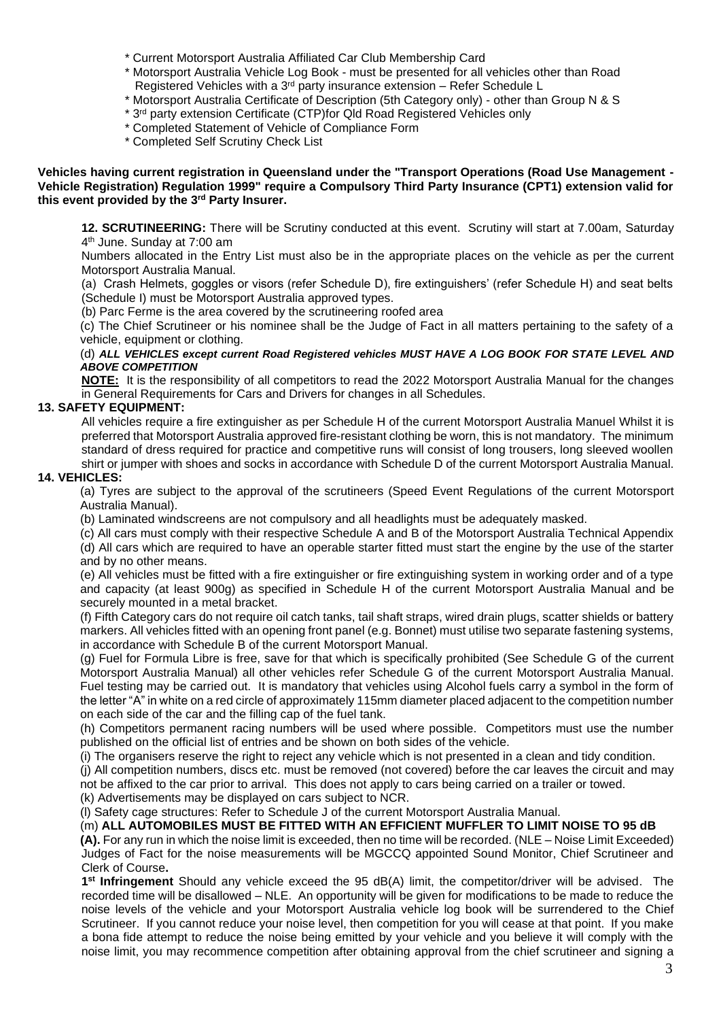- \* Current Motorsport Australia Affiliated Car Club Membership Card
- \* Motorsport Australia Vehicle Log Book must be presented for all vehicles other than Road Registered Vehicles with a 3rd party insurance extension – Refer Schedule L
- \* Motorsport Australia Certificate of Description (5th Category only) other than Group N & S
- \* 3 rd party extension Certificate (CTP)for Qld Road Registered Vehicles only
- \* Completed Statement of Vehicle of Compliance Form
- \* Completed Self Scrutiny Check List

#### **Vehicles having current registration in Queensland under the "Transport Operations (Road Use Management - Vehicle Registration) Regulation 1999" require a Compulsory Third Party Insurance (CPT1) extension valid for this event provided by the 3rd Party Insurer.**

**12. SCRUTINEERING:** There will be Scrutiny conducted at this event. Scrutiny will start at 7.00am, Saturday 4 th June. Sunday at 7:00 am

Numbers allocated in the Entry List must also be in the appropriate places on the vehicle as per the current Motorsport Australia Manual.

(a) Crash Helmets, goggles or visors (refer Schedule D), fire extinguishers' (refer Schedule H) and seat belts (Schedule I) must be Motorsport Australia approved types.

(b) Parc Ferme is the area covered by the scrutineering roofed area

(c) The Chief Scrutineer or his nominee shall be the Judge of Fact in all matters pertaining to the safety of a vehicle, equipment or clothing.

#### (d) *ALL VEHICLES except current Road Registered vehicles MUST HAVE A LOG BOOK FOR STATE LEVEL AND ABOVE COMPETITION*

**NOTE:** It is the responsibility of all competitors to read the 2022 Motorsport Australia Manual for the changes in General Requirements for Cars and Drivers for changes in all Schedules.

## **13. SAFETY EQUIPMENT:**

All vehicles require a fire extinguisher as per Schedule H of the current Motorsport Australia Manuel Whilst it is preferred that Motorsport Australia approved fire-resistant clothing be worn, this is not mandatory. The minimum standard of dress required for practice and competitive runs will consist of long trousers, long sleeved woollen shirt or jumper with shoes and socks in accordance with Schedule D of the current Motorsport Australia Manual.

## **14. VEHICLES:**

(a) Tyres are subject to the approval of the scrutineers (Speed Event Regulations of the current Motorsport Australia Manual).

(b) Laminated windscreens are not compulsory and all headlights must be adequately masked.

(c) All cars must comply with their respective Schedule A and B of the Motorsport Australia Technical Appendix

(d) All cars which are required to have an operable starter fitted must start the engine by the use of the starter and by no other means.

(e) All vehicles must be fitted with a fire extinguisher or fire extinguishing system in working order and of a type and capacity (at least 900g) as specified in Schedule H of the current Motorsport Australia Manual and be securely mounted in a metal bracket.

(f) Fifth Category cars do not require oil catch tanks, tail shaft straps, wired drain plugs, scatter shields or battery markers. All vehicles fitted with an opening front panel (e.g. Bonnet) must utilise two separate fastening systems, in accordance with Schedule B of the current Motorsport Manual.

(g) Fuel for Formula Libre is free, save for that which is specifically prohibited (See Schedule G of the current Motorsport Australia Manual) all other vehicles refer Schedule G of the current Motorsport Australia Manual. Fuel testing may be carried out. It is mandatory that vehicles using Alcohol fuels carry a symbol in the form of the letter "A" in white on a red circle of approximately 115mm diameter placed adjacent to the competition number on each side of the car and the filling cap of the fuel tank.

(h) Competitors permanent racing numbers will be used where possible. Competitors must use the number published on the official list of entries and be shown on both sides of the vehicle.

(i) The organisers reserve the right to reject any vehicle which is not presented in a clean and tidy condition.

(j) All competition numbers, discs etc. must be removed (not covered) before the car leaves the circuit and may not be affixed to the car prior to arrival. This does not apply to cars being carried on a trailer or towed.

(k) Advertisements may be displayed on cars subject to NCR.

(l) Safety cage structures: Refer to Schedule J of the current Motorsport Australia Manual.

(m) **ALL AUTOMOBILES MUST BE FITTED WITH AN EFFICIENT MUFFLER TO LIMIT NOISE TO 95 dB (A).** For any run in which the noise limit is exceeded, then no time will be recorded. (NLE – Noise Limit Exceeded) Judges of Fact for the noise measurements will be MGCCQ appointed Sound Monitor, Chief Scrutineer and Clerk of Course**.** 

**1 st Infringement** Should any vehicle exceed the 95 dB(A) limit, the competitor/driver will be advised. The recorded time will be disallowed – NLE. An opportunity will be given for modifications to be made to reduce the noise levels of the vehicle and your Motorsport Australia vehicle log book will be surrendered to the Chief Scrutineer. If you cannot reduce your noise level, then competition for you will cease at that point. If you make a bona fide attempt to reduce the noise being emitted by your vehicle and you believe it will comply with the noise limit, you may recommence competition after obtaining approval from the chief scrutineer and signing a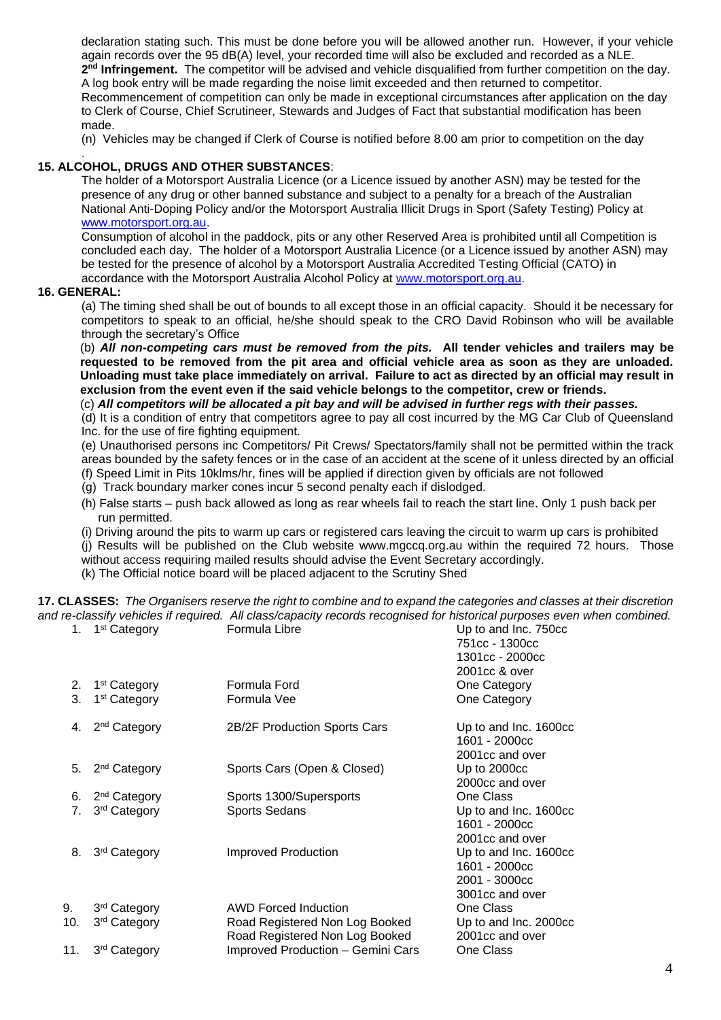declaration stating such. This must be done before you will be allowed another run. However, if your vehicle again records over the 95 dB(A) level, your recorded time will also be excluded and recorded as a NLE. 2<sup>nd</sup> Infringement. The competitor will be advised and vehicle disqualified from further competition on the day. A log book entry will be made regarding the noise limit exceeded and then returned to competitor. Recommencement of competition can only be made in exceptional circumstances after application on the day to Clerk of Course, Chief Scrutineer, Stewards and Judges of Fact that substantial modification has been made.

(n) Vehicles may be changed if Clerk of Course is notified before 8.00 am prior to competition on the day

#### . **15. ALCOHOL, DRUGS AND OTHER SUBSTANCES**:

The holder of a Motorsport Australia Licence (or a Licence issued by another ASN) may be tested for the presence of any drug or other banned substance and subject to a penalty for a breach of the Australian National Anti-Doping Policy and/or the Motorsport Australia Illicit Drugs in Sport (Safety Testing) Policy at [www.motorsport.org.au.](http://www.motorsport.org.au/)

Consumption of alcohol in the paddock, pits or any other Reserved Area is prohibited until all Competition is concluded each day. The holder of a Motorsport Australia Licence (or a Licence issued by another ASN) may be tested for the presence of alcohol by a Motorsport Australia Accredited Testing Official (CATO) in accordance with the Motorsport Australia Alcohol Policy at [www.motorsport.org.au.](http://www.motorsport.org.au/)

#### **16. GENERAL:**

(a) The timing shed shall be out of bounds to all except those in an official capacity. Should it be necessary for competitors to speak to an official, he/she should speak to the CRO David Robinson who will be available through the secretary's Office

(b) *All non-competing cars must be removed from the pits.* **All tender vehicles and trailers may be requested to be removed from the pit area and official vehicle area as soon as they are unloaded. Unloading must take place immediately on arrival. Failure to act as directed by an official may result in exclusion from the event even if the said vehicle belongs to the competitor, crew or friends.**

(c) *All competitors will be allocated a pit bay and will be advised in further regs with their passes.*

(d) It is a condition of entry that competitors agree to pay all cost incurred by the MG Car Club of Queensland Inc. for the use of fire fighting equipment.

(e) Unauthorised persons inc Competitors/ Pit Crews/ Spectators/family shall not be permitted within the track areas bounded by the safety fences or in the case of an accident at the scene of it unless directed by an official (f) Speed Limit in Pits 10klms/hr, fines will be applied if direction given by officials are not followed

- (g) Track boundary marker cones incur 5 second penalty each if dislodged.
- (h) False starts push back allowed as long as rear wheels fail to reach the start line. Only 1 push back per run permitted.

(i) Driving around the pits to warm up cars or registered cars leaving the circuit to warm up cars is prohibited (j) Results will be published on the Club website www.mgccq.org.au within the required 72 hours. Those without access requiring mailed results should advise the Event Secretary accordingly. (k) The Official notice board will be placed adjacent to the Scrutiny Shed

**17. CLASSES:** *The Organisers reserve the right to combine and to expand the categories and classes at their discretion and re-classify vehicles if required. All class/capacity records recognised for historical purposes even when combined.* 1. 1<sup>st</sup> Category Formula Libre  $\overline{ }$  Up to and Inc. 750cc

|     |                          |                                                                  | 751cc - 1300cc<br>1301cc - 2000cc<br>2001cc & over                         |
|-----|--------------------------|------------------------------------------------------------------|----------------------------------------------------------------------------|
| 2.  | 1 <sup>st</sup> Category | Formula Ford                                                     | One Category                                                               |
| 3.  | 1 <sup>st</sup> Category | Formula Vee                                                      | One Category                                                               |
| 4.  | 2 <sup>nd</sup> Category | 2B/2F Production Sports Cars                                     | Up to and Inc. 1600cc<br>1601 - 2000cc<br>2001cc and over                  |
| 5.  | 2 <sup>nd</sup> Category | Sports Cars (Open & Closed)                                      | Up to 2000cc<br>2000cc and over                                            |
| 6.  | 2 <sup>nd</sup> Category | Sports 1300/Supersports                                          | One Class                                                                  |
| 7.  | 3 <sup>rd</sup> Category | <b>Sports Sedans</b>                                             | Up to and Inc. 1600cc<br>1601 - 2000cc<br>2001cc and over                  |
| 8.  | 3 <sup>rd</sup> Category | <b>Improved Production</b>                                       | Up to and Inc. 1600cc<br>1601 - 2000cc<br>2001 - 3000cc<br>3001cc and over |
| 9.  | 3rd Category             | <b>AWD Forced Induction</b>                                      | One Class                                                                  |
| 10. | 3 <sup>rd</sup> Category | Road Registered Non Log Booked<br>Road Registered Non Log Booked | Up to and Inc. 2000cc<br>2001cc and over                                   |
| 11. | 3 <sup>rd</sup> Category | <b>Improved Production - Gemini Cars</b>                         | One Class                                                                  |
|     |                          |                                                                  |                                                                            |